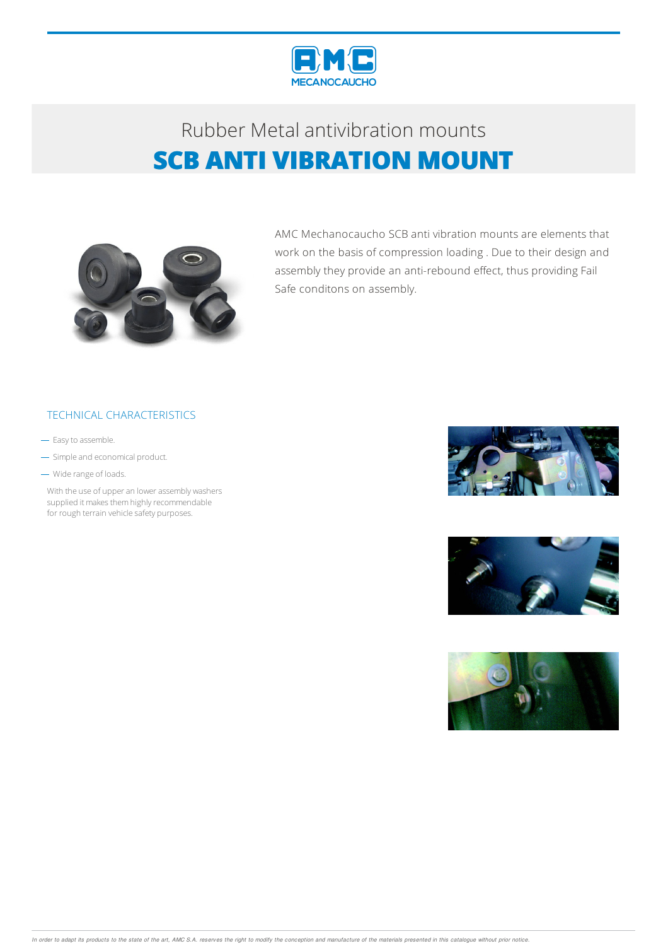



AMC Mechanocaucho SCB anti vibration mounts are elements that work on the basis of compression loading . Due to their design and assembly they provide an anti-rebound effect, thus providing Fail Safe conditons on assembly.

### TECHNICAL CHARACTERISTICS

- Easy to assemble.
- Simple and economical product.
- Wide range of loads.

With the use of upper an lower assembly washers supplied it makes them highly recommendable for rough terrain vehicle safety purposes.





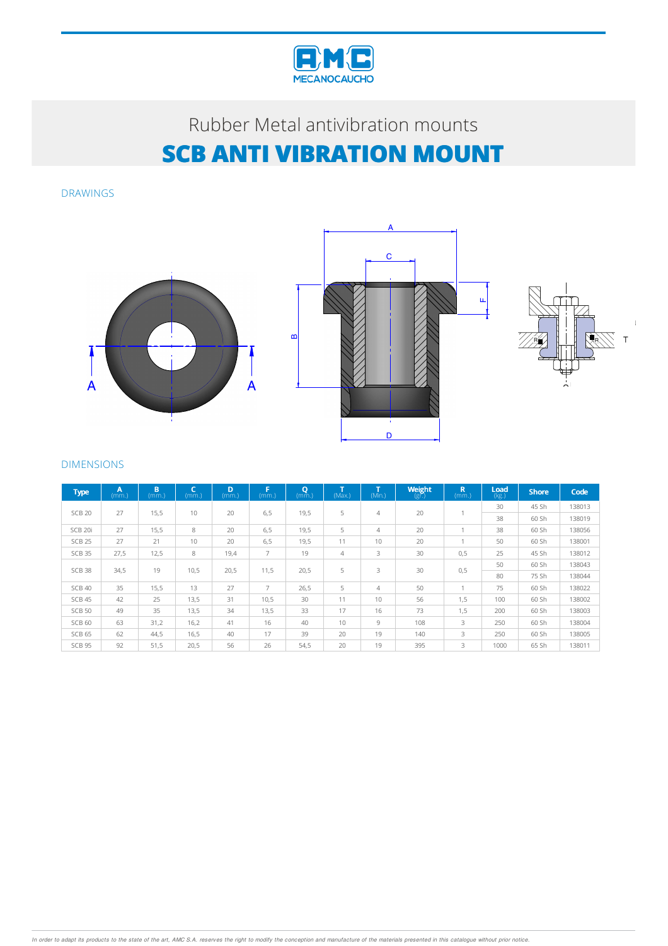

DRAWINGS







#### DIMENSIONS

| <b>Type</b>       | $\overline{A}$<br>(mm.) | B<br>(mm.) | C<br>(mm.) | D<br>(mm.) | п<br>(mm.)     | Q<br>(mm.) | $\mathbf{r}$<br>(Max. | (Min.) | <b>Weight</b><br>$(g\vec{r})$ | $\mathbb{R}$<br>(mm.) | Load<br>(kg.) | <b>Shore</b> | Code   |
|-------------------|-------------------------|------------|------------|------------|----------------|------------|-----------------------|--------|-------------------------------|-----------------------|---------------|--------------|--------|
| <b>SCB 20</b>     | 27                      | 15,5       | 10         | 20         | 6, 5           | 19,5       | 5                     | 4      | 20                            | и                     | 30            | 45 Sh        | 138013 |
|                   |                         |            |            |            |                |            |                       |        |                               |                       | 38            | 60 Sh        | 138019 |
| SCB 20i           | 27                      | 15,5       | 8          | 20         | 6, 5           | 19,5       | 5                     | 4      | 20                            | и                     | 38            | 60 Sh        | 138056 |
| <b>SCB 25</b>     | 27                      | 21         | 10         | 20         | 6, 5           | 19,5       | 11                    | 10     | 20                            | ۸                     | 50            | 60 Sh        | 138001 |
| SCB 35            | 27,5                    | 12,5       | 8          | 19,4       | $\overline{7}$ | 19         | 4                     | 3      | 30                            | 0,5                   | 25            | 45 Sh        | 138012 |
| SCB <sub>38</sub> | 34,5                    | 19         | 10,5       | 20,5       | 11,5           | 20,5       | 5                     | 3      | 30                            | 0,5                   | 50            | 60 Sh        | 138043 |
|                   |                         |            |            |            |                |            |                       |        |                               |                       | 80            | 75 Sh        | 138044 |
| SCB 40            | 35                      | 15,5       | 13         | 27         | $\overline{7}$ | 26,5       | 5                     | 4      | 50                            | и                     | 75            | 60 Sh        | 138022 |
| SCB 45            | 42                      | 25         | 13,5       | 31         | 10,5           | 30         | 11                    | 10     | 56                            | 1,5                   | 100           | 60 Sh        | 138002 |
| <b>SCB 50</b>     | 49                      | 35         | 13,5       | 34         | 13,5           | 33         | 17                    | 16     | 73                            | 1,5                   | 200           | 60 Sh        | 138003 |
| SCB <sub>60</sub> | 63                      | 31,2       | 16,2       | 41         | 16             | 40         | 10                    | 9      | 108                           | 3                     | 250           | 60 Sh        | 138004 |
| SCB <sub>65</sub> | 62                      | 44,5       | 16,5       | 40         | 17             | 39         | 20                    | 19     | 140                           | 3                     | 250           | 60 Sh        | 138005 |
| SCB 95            | 92                      | 51,5       | 20,5       | 56         | 26             | 54,5       | 20                    | 19     | 395                           | 3                     | 1000          | 65 Sh        | 138011 |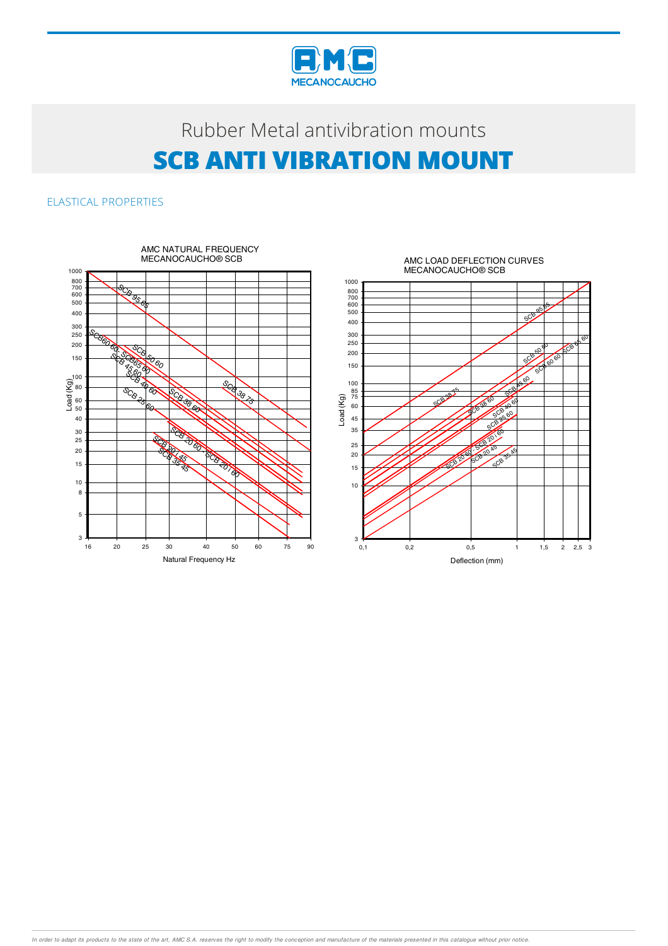

ELASTICAL PROPERTIES



In order to adapt its products to the state of the art, AMC S.A. reserves the right to modify the conception and manufacture of the materials presented in this catalogue without prior notice.